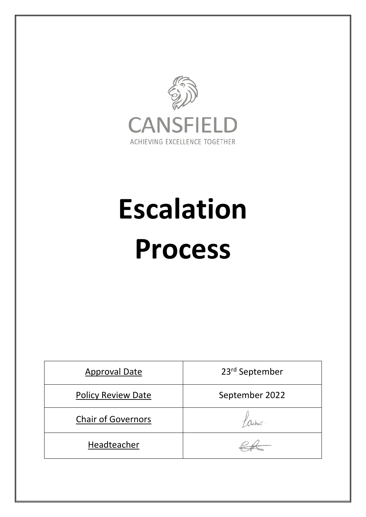

# **Escalation Process**

| <b>Approval Date</b>      | 23rd September |
|---------------------------|----------------|
| <b>Policy Review Date</b> | September 2022 |
| <b>Chair of Governors</b> |                |
| Headteacher               |                |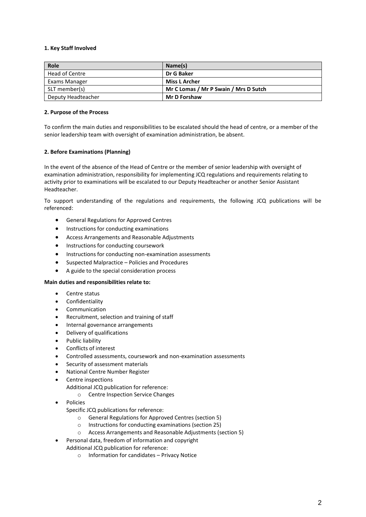# **1. Key Staff Involved**

| Role               | Name(s)                               |
|--------------------|---------------------------------------|
| Head of Centre     | Dr G Baker                            |
| Exams Manager      | <b>Miss L Archer</b>                  |
| SLT member(s)      | Mr C Lomas / Mr P Swain / Mrs D Sutch |
| Deputy Headteacher | <b>Mr D Forshaw</b>                   |

# **2. Purpose of the Process**

To confirm the main duties and responsibilities to be escalated should the head of centre, or a member of the senior leadership team with oversight of examination administration, be absent.

# **2. Before Examinations (Planning)**

In the event of the absence of the Head of Centre or the member of senior leadership with oversight of examination administration, responsibility for implementing JCQ regulations and requirements relating to activity prior to examinations will be escalated to our Deputy Headteacher or another Senior Assistant Headteacher.

To support understanding of the regulations and requirements, the following JCQ publications will be referenced:

- General Regulations for Approved Centres
- **•** Instructions for conducting examinations
- Access Arrangements and Reasonable Adjustments
- **•** Instructions for conducting coursework
- Instructions for conducting non-examination assessments
- Suspected Malpractice Policies and Procedures
- A guide to the special consideration process

#### **Main duties and responsibilities relate to:**

- **Centre status**
- Confidentiality
- Communication
- Recruitment, selection and training of staff
- Internal governance arrangements
- Delivery of qualifications
- Public liability
- Conflicts of interest
- Controlled assessments, coursework and non-examination assessments
- Security of assessment materials
- National Centre Number Register
- Centre inspections
	- Additional JCQ publication for reference:
		- o Centre Inspection Service Changes
- Policies
	- Specific JCQ publications for reference:
		- o General Regulations for Approved Centres (section 5)
		- o Instructions for conducting examinations (section 25)
		- o Access Arrangements and Reasonable Adjustments (section 5)
	- Personal data, freedom of information and copyright
- Additional JCQ publication for reference:
	- o Information for candidates Privacy Notice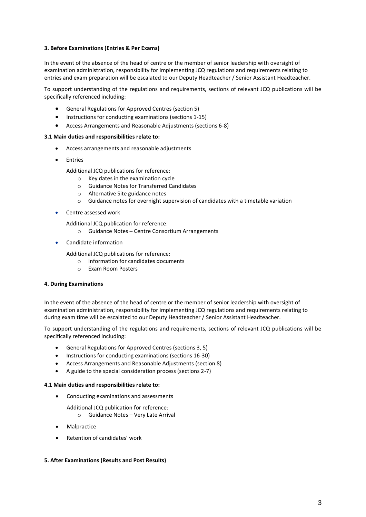# **3. Before Examinations (Entries & Per Exams)**

In the event of the absence of the head of centre or the member of senior leadership with oversight of examination administration, responsibility for implementing JCQ regulations and requirements relating to entries and exam preparation will be escalated to our Deputy Headteacher / Senior Assistant Headteacher.

To support understanding of the regulations and requirements, sections of relevant JCQ publications will be specifically referenced including:

- General Regulations for Approved Centres (section 5)
- Instructions for conducting examinations (sections 1-15)
- Access Arrangements and Reasonable Adjustments (sections 6-8)

#### **3.1 Main duties and responsibilities relate to:**

- Access arrangements and reasonable adjustments
- Entries
	- Additional JCQ publications for reference:
		- o Key dates in the examination cycle
		- o Guidance Notes for Transferred Candidates
		- o Alternative Site guidance notes
		- $\circ$  Guidance notes for overnight supervision of candidates with a timetable variation
- Centre assessed work

Additional JCQ publication for reference:

- o Guidance Notes Centre Consortium Arrangements
- Candidate information

Additional JCQ publications for reference:

- o Information for candidates documents
- o Exam Room Posters

#### **4. During Examinations**

In the event of the absence of the head of centre or the member of senior leadership with oversight of examination administration, responsibility for implementing JCQ regulations and requirements relating to during exam time will be escalated to our Deputy Headteacher / Senior Assistant Headteacher.

To support understanding of the regulations and requirements, sections of relevant JCQ publications will be specifically referenced including:

- General Regulations for Approved Centres (sections 3, 5)
- Instructions for conducting examinations (sections 16-30)
- Access Arrangements and Reasonable Adjustments (section 8)
- A guide to the special consideration process (sections 2-7)

#### **4.1 Main duties and responsibilities relate to:**

- Conducting examinations and assessments
	- Additional JCQ publication for reference:
		- o Guidance Notes Very Late Arrival
- Malpractice
- Retention of candidates' work

# **5. After Examinations (Results and Post Results)**